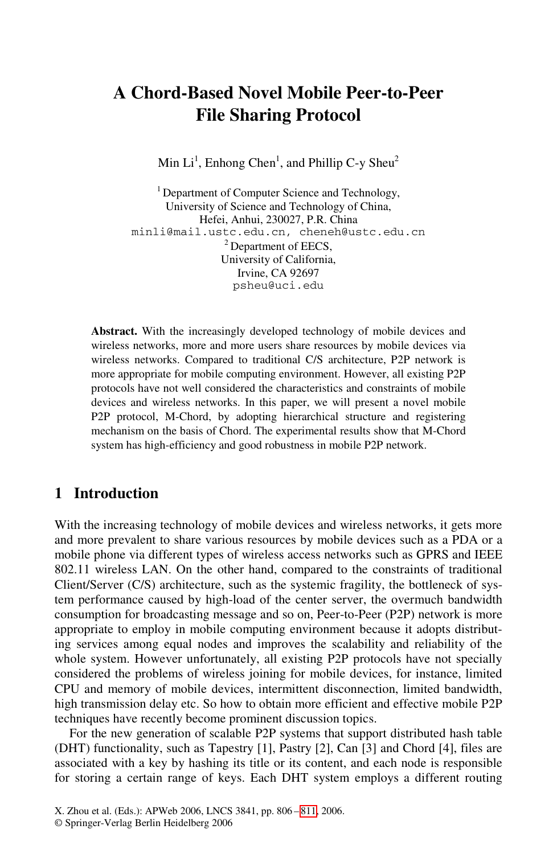# **A Chord-Based Novel Mobile Peer-to-Peer File Sharing Protocol**

Min  $Li<sup>1</sup>$ , Enhong Chen<sup>1</sup>, and Phillip C-y Sheu<sup>2</sup>

<sup>1</sup> Department of Computer Science and Technology, University of Science and Technology of China, Hefei, Anhui, 230027, P.R. China minli@mail.ustc.edu.cn, cheneh@ustc.edu.cn 2 Department of EECS, University of California, Irvine, CA 92697 psheu@uci.edu

**Abstract.** With the increasingly developed technology of mobile devices and wireless networks, more and more users share resources by mobile devices via wireless networks. Compared to traditional C/S architecture, P2P network is more appropriate for mobile computing environment. However, all existing P2P protocols have not well considered the characteristics and constraints of mobile devices and wireless networks. In this paper, we will present a novel mobile P2P protocol, M-Chord, by adopting hierarchical structure and registering mechanism on the basis of Chord. The experimental results show that M-Chord system has high-efficiency and good robustness in mobile P2P network.

### **1 Introduction**

With the increasing technology of mobile devices and wireless networks, it gets more and more prevalent to share various resources by mobile devices such as a PDA or a mobile phone via different types of wireless access networks such as GPRS and IEEE 802.11 wireless LAN. On the other hand, compared to the constraints of traditional Client/Server (C/S) architecture, such as the systemic fragility, the bottleneck of system performance caused by high-load of the center server, the overmuch bandwidth consumption for broadcasting message and so on, Peer-to-Peer (P2P) network is more appropriate to employ in mobile computing environment because it adopts distributing services among equal nodes and improves the scalability and reliability of the whole system. However unfortunately, all existing P2P protocols have not specially considered the problems of wireless joining for mobile devices, for instance, limited CPU and memory of mobile devices, intermittent disconnection, limited bandwidth, high transmission delay et[c. So](#page-5-0) how to obtain more efficient and effective mobile P2P techniques have recently become prominent discussion topics.

For the new generation of scalable P2P systems that support distributed hash table (DHT) functionality, such as Tapestry [1], Pastry [2], Can [3] and Chord [4], files are associated with a key by hashing its title or its content, and each node is responsible for storing a certain range of keys. Each DHT system employs a different routing

X. Zhou et al. (Eds.): APWeb 2006, LNCS 3841, pp. 806 – 811, 2006.

<sup>©</sup> Springer-Verlag Berlin Heidelberg 2006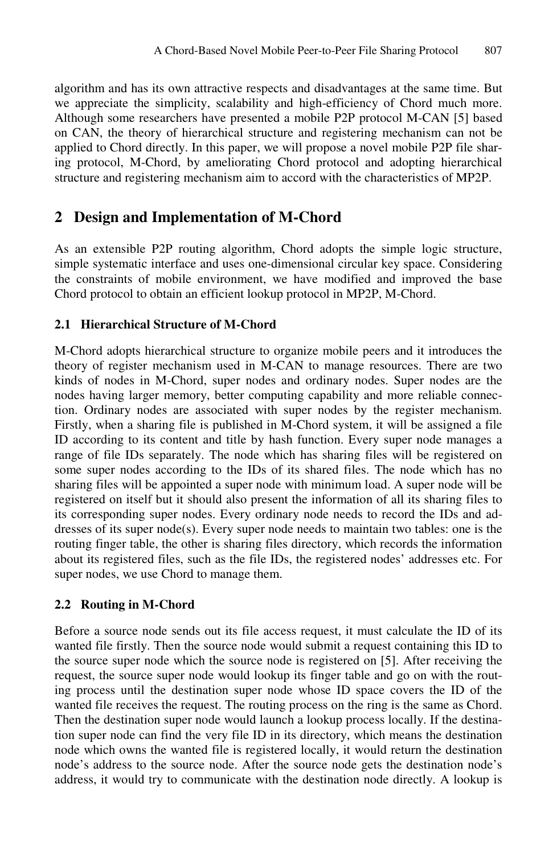algorithm and has its own attractive respects and disadvantages at the same time. But we appreciate the simplicity, scalability and high-efficiency of Chord much more. Although some researchers have presented a mobile P2P protocol M-CAN [5] based on CAN, the theory of hierarchical structure and registering mechanism can not be applied to Chord directly. In this paper, we will propose a novel mobile P2P file sharing protocol, M-Chord, by ameliorating Chord protocol and adopting hierarchical structure and registering mechanism aim to accord with the characteristics of MP2P.

## **2 Design and Implementation of M-Chord**

As an extensible P2P routing algorithm, Chord adopts the simple logic structure, simple systematic interface and uses one-dimensional circular key space. Considering the constraints of mobile environment, we have modified and improved the base Chord protocol to obtain an efficient lookup protocol in MP2P, M-Chord.

### **2.1 Hierarchical Structure of M-Chord**

M-Chord adopts hierarchical structure to organize mobile peers and it introduces the theory of register mechanism used in M-CAN to manage resources. There are two kinds of nodes in M-Chord, super nodes and ordinary nodes. Super nodes are the nodes having larger memory, better computing capability and more reliable connection. Ordinary nodes are associated with super nodes by the register mechanism. Firstly, when a sharing file is published in M-Chord system, it will be assigned a file ID according to its content and title by hash function. Every super node manages a range of file IDs separately. The node which has sharing files will be registered on some super nodes according to the IDs of its shared files. The node which has no sharing files will be appointed a super node with minimum load. A super node will be registered on itself but it should also present the information of all its sharing files to its corresponding super nodes. Every ordinary node needs to record the IDs and addresses of its super  $node(s)$ . Every super node needs to maintain two tables: one is the routing finger table, the other is sharing files directory, which records the information about its registered files, such as the file IDs, the registered nodes' addresses etc. For super nodes, we use Chord to manage them.

### **2.2 Routing in M-Chord**

Before a source node sends out its file access request, it must calculate the ID of its wanted file firstly. Then the source node would submit a request containing this ID to the source super node which the source node is registered on [5]. After receiving the request, the source super node would lookup its finger table and go on with the routing process until the destination super node whose ID space covers the ID of the wanted file receives the request. The routing process on the ring is the same as Chord. Then the destination super node would launch a lookup process locally. If the destination super node can find the very file ID in its directory, which means the destination node which owns the wanted file is registered locally, it would return the destination node's address to the source node. After the source node gets the destination node's address, it would try to communicate with the destination node directly. A lookup is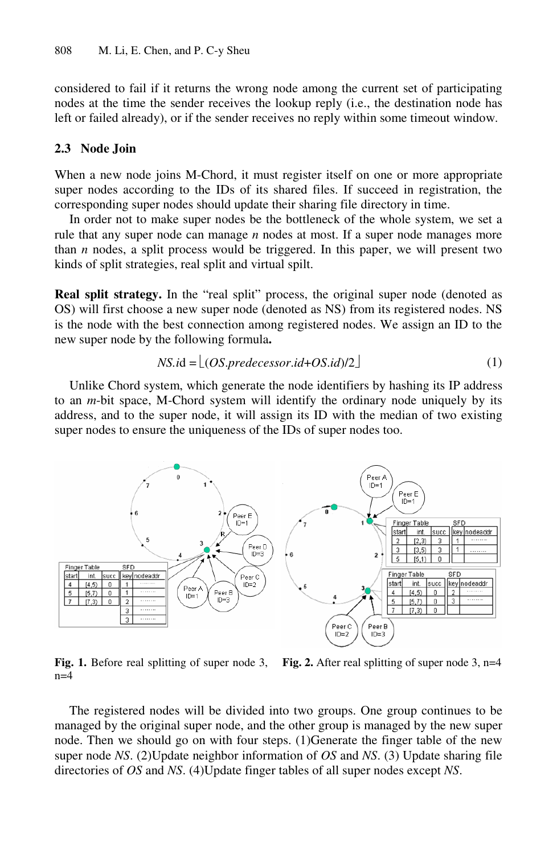considered to fail if it returns the wrong node among the current set of participating nodes at the time the sender receives the lookup reply (i.e., the destination node has left or failed already), or if the sender receives no reply within some timeout window.

### **2.3 Node Join**

When a new node joins M-Chord, it must register itself on one or more appropriate super nodes according to the IDs of its shared files. If succeed in registration, the corresponding super nodes should update their sharing file directory in time.

In order not to make super nodes be the bottleneck of the whole system, we set a rule that any super node can manage *n* nodes at most. If a super node manages more than *n* nodes, a split process would be triggered. In this paper, we will present two kinds of split strategies, real split and virtual spilt.

**Real split strategy.** In the "real split" process, the original super node (denoted as OS) will first choose a new super node (denoted as NS) from its registered nodes. NS is the node with the best connection among registered nodes. We assign an ID to the new super node by the following formula**.** 

*NS.i*d = ⎣(*OS*.*predecessor*.*id*+*OS*.*id*)/2⎦ (1)

Unlike Chord system, which generate the node identifiers by hashing its IP address to an *m*-bit space, M-Chord system will identify the ordinary node uniquely by its address, and to the super node, it will assign its ID with the median of two existing super nodes to ensure the uniqueness of the IDs of super nodes too.



**Fig. 1.** Before real splitting of super node 3,  $n=4$ **Fig. 2.** After real splitting of super node 3, n=4

The registered nodes will be divided into two groups. One group continues to be managed by the original super node, and the other group is managed by the new super node. Then we should go on with four steps. (1)Generate the finger table of the new super node *NS*. (2)Update neighbor information of *OS* and *NS*. (3) Update sharing file directories of *OS* and *NS*. (4)Update finger tables of all super nodes except *NS*.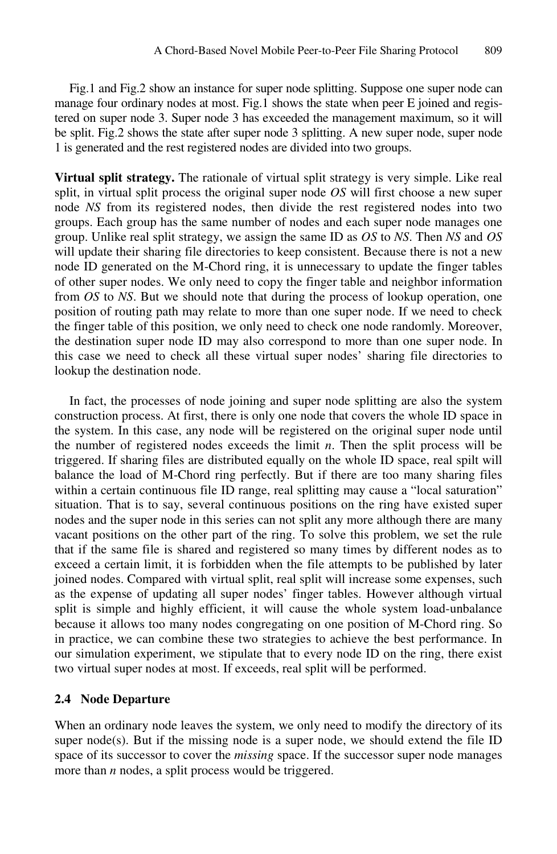Fig.1 and Fig.2 show an instance for super node splitting. Suppose one super node can manage four ordinary nodes at most. Fig.1 shows the state when peer E joined and registered on super node 3. Super node 3 has exceeded the management maximum, so it will be split. Fig.2 shows the state after super node 3 splitting. A new super node, super node 1 is generated and the rest registered nodes are divided into two groups.

**Virtual split strategy.** The rationale of virtual split strategy is very simple. Like real split, in virtual split process the original super node *OS* will first choose a new super node *NS* from its registered nodes, then divide the rest registered nodes into two groups. Each group has the same number of nodes and each super node manages one group. Unlike real split strategy, we assign the same ID as *OS* to *NS*. Then *NS* and *OS* will update their sharing file directories to keep consistent. Because there is not a new node ID generated on the M-Chord ring, it is unnecessary to update the finger tables of other super nodes. We only need to copy the finger table and neighbor information from *OS* to *NS*. But we should note that during the process of lookup operation, one position of routing path may relate to more than one super node. If we need to check the finger table of this position, we only need to check one node randomly. Moreover, the destination super node ID may also correspond to more than one super node. In this case we need to check all these virtual super nodes' sharing file directories to lookup the destination node.

In fact, the processes of node joining and super node splitting are also the system construction process. At first, there is only one node that covers the whole ID space in the system. In this case, any node will be registered on the original super node until the number of registered nodes exceeds the limit *n*. Then the split process will be triggered. If sharing files are distributed equally on the whole ID space, real spilt will balance the load of M-Chord ring perfectly. But if there are too many sharing files within a certain continuous file ID range, real splitting may cause a "local saturation" situation. That is to say, several continuous positions on the ring have existed super nodes and the super node in this series can not split any more although there are many vacant positions on the other part of the ring. To solve this problem, we set the rule that if the same file is shared and registered so many times by different nodes as to exceed a certain limit, it is forbidden when the file attempts to be published by later joined nodes. Compared with virtual split, real split will increase some expenses, such as the expense of updating all super nodes' finger tables. However although virtual split is simple and highly efficient, it will cause the whole system load-unbalance because it allows too many nodes congregating on one position of M-Chord ring. So in practice, we can combine these two strategies to achieve the best performance. In our simulation experiment, we stipulate that to every node ID on the ring, there exist two virtual super nodes at most. If exceeds, real split will be performed.

#### **2.4 Node Departure**

When an ordinary node leaves the system, we only need to modify the directory of its super node(s). But if the missing node is a super node, we should extend the file ID space of its successor to cover the *missing* space. If the successor super node manages more than *n* nodes, a split process would be triggered.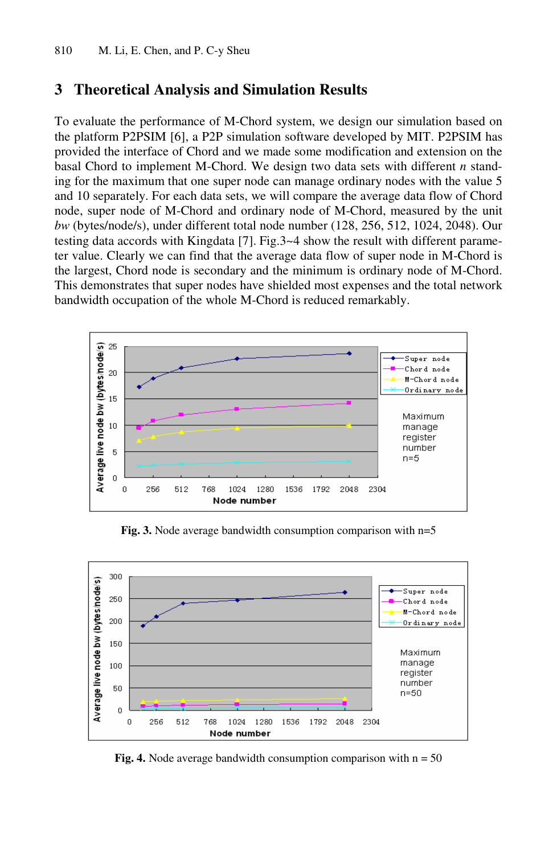## **3 Theoretical Analysis and Simulation Results**

To evaluate the performance of M-Chord system, we design our simulation based on the platform P2PSIM [6], a P2P simulation software developed by MIT. P2PSIM has provided the interface of Chord and we made some modification and extension on the basal Chord to implement M-Chord. We design two data sets with different *n* standing for the maximum that one super node can manage ordinary nodes with the value 5 and 10 separately. For each data sets, we will compare the average data flow of Chord node, super node of M-Chord and ordinary node of M-Chord, measured by the unit *bw* (bytes/node/s), under different total node number (128, 256, 512, 1024, 2048). Our testing data accords with Kingdata [7]. Fig.3~4 show the result with different parameter value. Clearly we can find that the average data flow of super node in M-Chord is the largest, Chord node is secondary and the minimum is ordinary node of M-Chord. This demonstrates that super nodes have shielded most expenses and the total network bandwidth occupation of the whole M-Chord is reduced remarkably.



**Fig. 3.** Node average bandwidth consumption comparison with n=5



**Fig. 4.** Node average bandwidth consumption comparison with  $n = 50$